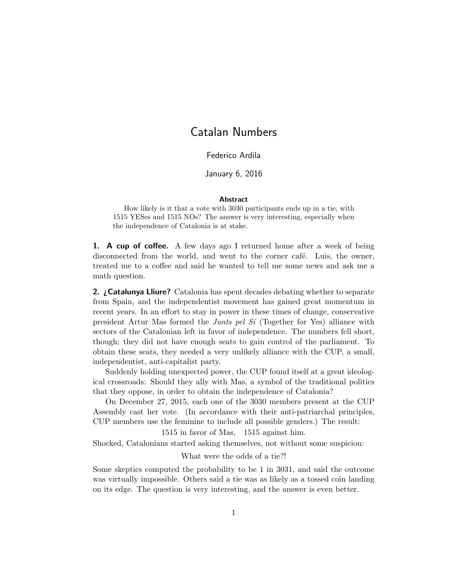## Catalan Numbers

Federico Ardila

January 6, 2016

## Abstract

How likely is it that a vote with 3030 participants ends up in a tie, with 1515 YESes and 1515 NOs? The answer is very interesting, especially when the independence of Catalonia is at stake.

1. A cup of coffee. A few days ago I returned home after a week of being disconnected from the world, and went to the corner café. Luis, the owner, treated me to a coffee and said he wanted to tell me some news and ask me a math question.

**2. ¿Catalunya Lliure?** Catalonia has spent decades debating whether to separate from Spain, and the independentist movement has gained great momentum in recent years. In an effort to stay in power in these times of change, conservative president Artur Mas formed the *Junts pel S* $i$  (Together for Yes) alliance with sectors of the Catalonian left in favor of independence. The numbers fell short, though; they did not have enough seats to gain control of the parliament. To obtain these seats, they needed a very unlikely alliance with the CUP, a small, independentist, anti-capitalist party.

Suddenly holding unexpected power, the CUP found itself at a great ideological crossroads: Should they ally with Mas, a symbol of the traditional politics that they oppose, in order to obtain the independence of Catalonia?

On December 27, 2015, each one of the 3030 members present at the CUP Assembly cast her vote. (In accordance with their anti-patriarchal principles, CUP members use the feminine to include all possible genders.) The result:

1515 in favor of Mas, 1515 against him.

Shocked, Catalonians started asking themselves, not without some suspicion:

What were the odds of a tie?!

Some skeptics computed the probability to be 1 in 3031, and said the outcome was virtually impossible. Others said a tie was as likely as a tossed coin landing on its edge. The question is very interesting, and the answer is even better.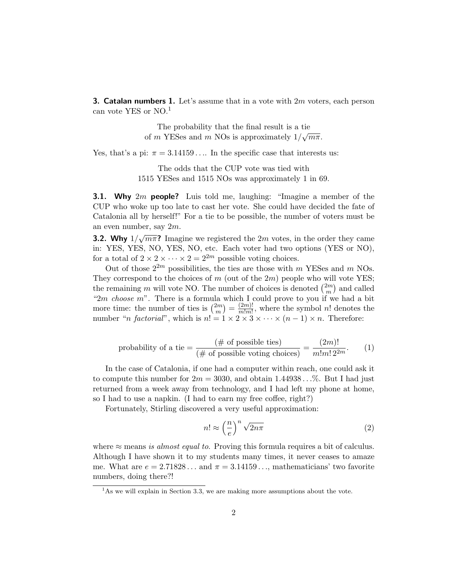**3. Catalan numbers 1.** Let's assume that in a vote with  $2m$  voters, each person can vote YES or NO.<sup>1</sup>

> The probability that the final result is a tie of m YESes and m NOs is approximately  $1/\sqrt{m\pi}$ .

Yes, that's a pi:  $\pi = 3.14159...$  In the specific case that interests us:

The odds that the CUP vote was tied with 1515 YESes and 1515 NOs was approximately 1 in 69.

**3.1. Why**  $2m$  **people?** Luis told me, laughing: "Imagine a member of the CUP who woke up too late to cast her vote. She could have decided the fate of Catalonia all by herself!" For a tie to be possible, the number of voters must be an even number, say 2m.

**3.2. Why**  $1/\sqrt{m\pi}$ ? Imagine we registered the 2*m* votes, in the order they came in: YES, YES, NO, YES, NO, etc. Each voter had two options (YES or NO), for a total of  $2 \times 2 \times \cdots \times 2 = 2^{2m}$  possible voting choices.

Out of those  $2^{2m}$  possibilities, the ties are those with m YESes and m NOs. They correspond to the choices of  $m$  (out of the  $2m$ ) people who will vote YES; the remaining m will vote NO. The number of choices is denoted  $\binom{2m}{m}$  $\binom{2m}{m}$  and called " $2m$  choose m". There is a formula which I could prove to you if we had a bit more time: the number of ties is  $\binom{2m}{m}$  $\binom{2m}{m} = \frac{(2m)!}{m!m!}$  $\frac{(2m)!}{m!m!}$ , where the symbol n! denotes the number "*n* factorial", which is  $n! = 1 \times 2 \times 3 \times \cdots \times (n-1) \times n$ . Therefore:

probability of a tie = 
$$
\frac{(\text{# of possible ties})}{(\text{# of possible voting choices})} = \frac{(2m)!}{m!m! \, 2^{2m}}.
$$
 (1)

In the case of Catalonia, if one had a computer within reach, one could ask it to compute this number for  $2m = 3030$ , and obtain  $1.44938...$ %. But I had just returned from a week away from technology, and I had left my phone at home, so I had to use a napkin. (I had to earn my free coffee, right?)

Fortunately, Stirling discovered a very useful approximation:

$$
n! \approx \left(\frac{n}{e}\right)^n \sqrt{2n\pi} \tag{2}
$$

where  $\approx$  means is almost equal to. Proving this formula requires a bit of calculus. Although I have shown it to my students many times, it never ceases to amaze me. What are  $e = 2.71828...$  and  $\pi = 3.14159...$  mathematicians' two favorite numbers, doing there?!

 $<sup>1</sup>$ As we will explain in Section 3.3, we are making more assumptions about the vote.</sup>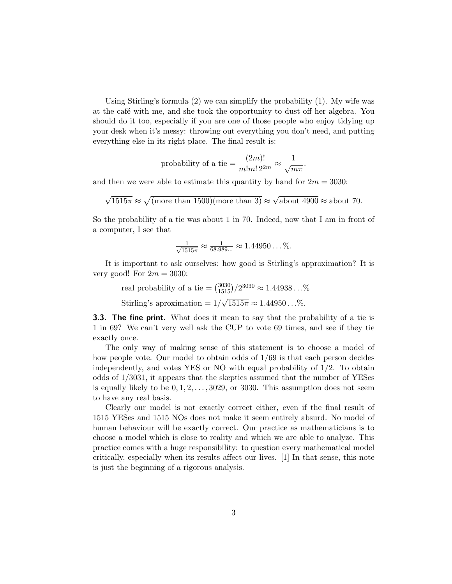Using Stirling's formula (2) we can simplify the probability (1). My wife was at the café with me, and she took the opportunity to dust off her algebra. You should do it too, especially if you are one of those people who enjoy tidying up your desk when it's messy: throwing out everything you don't need, and putting everything else in its right place. The final result is:

probability of a tie = 
$$
\frac{(2m)!}{m!m! 2^{2m}} \approx \frac{1}{\sqrt{m\pi}}
$$
.

and then we were able to estimate this quantity by hand for  $2m = 3030$ :

$$
\sqrt{1515\pi} \approx \sqrt{\text{(more than 1500)}\text{(more than 3)}} \approx \sqrt{\text{about 4900}} \approx \text{about 70.}
$$

So the probability of a tie was about 1 in 70. Indeed, now that I am in front of a computer, I see that

$$
\frac{1}{\sqrt{1515\pi}} \approx \frac{1}{68.989...} \approx 1.44950... \,\%
$$

It is important to ask ourselves: how good is Stirling's approximation? It is very good! For  $2m = 3030$ :

real probability of a tie =  $\binom{3030}{1515}/2^{3030} \approx 1.44938...$ % Stirling's aproximation  $= 1/$ √  $1515\pi \approx 1.44950...$ %.

**3.3. The fine print.** What does it mean to say that the probability of a tie is 1 in 69? We can't very well ask the CUP to vote 69 times, and see if they tie exactly once.

The only way of making sense of this statement is to choose a model of how people vote. Our model to obtain odds of 1/69 is that each person decides independently, and votes YES or NO with equal probability of 1/2. To obtain odds of 1/3031, it appears that the skeptics assumed that the number of YESes is equally likely to be  $0, 1, 2, \ldots, 3029$ , or 3030. This assumption does not seem to have any real basis.

Clearly our model is not exactly correct either, even if the final result of 1515 YESes and 1515 NOs does not make it seem entirely absurd. No model of human behaviour will be exactly correct. Our practice as mathematicians is to choose a model which is close to reality and which we are able to analyze. This practice comes with a huge responsibility: to question every mathematical model critically, especially when its results affect our lives. [1] In that sense, this note is just the beginning of a rigorous analysis.